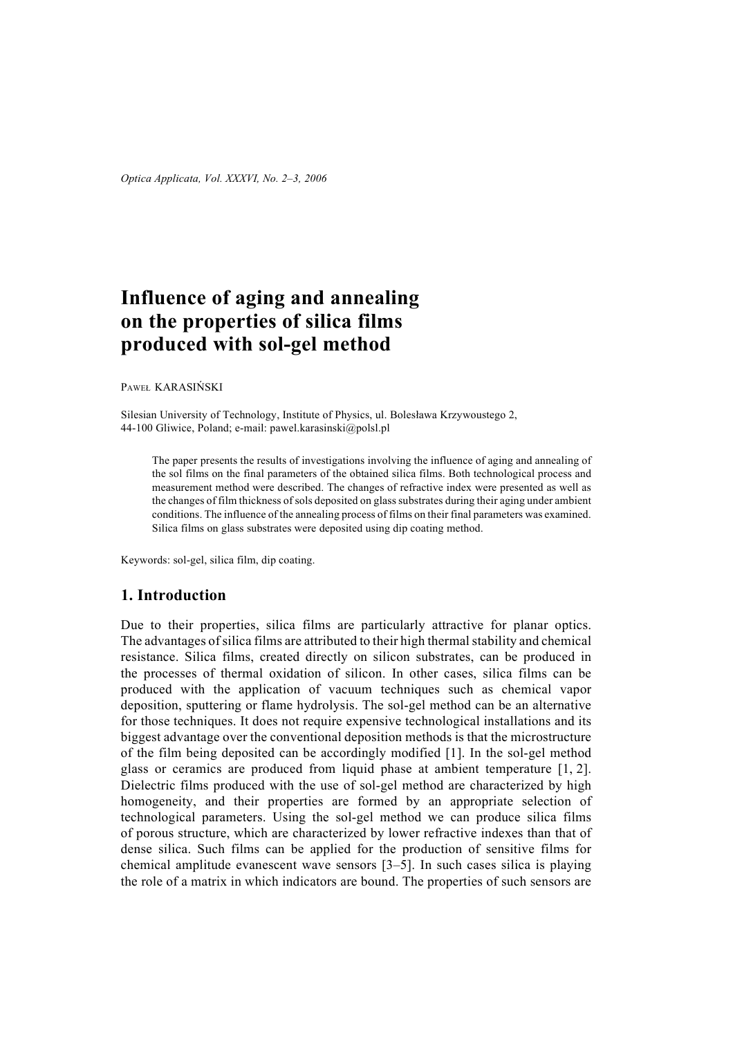# **Influence of aging and annealing on the properties of silica films produced with sol-gel method**

PAWEŁ KARASIŃSKI

Silesian University of Technology, Institute of Physics, ul. Bolesława Krzywoustego 2, 44-100 Gliwice, Poland; e-mail: pawel.karasinski@polsl.pl

The paper presents the results of investigations involving the influence of aging and annealing of the sol films on the final parameters of the obtained silica films. Both technological process and measurement method were described. The changes of refractive index were presented as well as the changes of film thickness of sols deposited on glass substrates during their aging under ambient conditions. The influence of the annealing process of films on their final parameters was examined. Silica films on glass substrates were deposited using dip coating method.

Keywords: sol-gel, silica film, dip coating.

## **1. Introduction**

Due to their properties, silica films are particularly attractive for planar optics. The advantages of silica films are attributed to their high thermal stability and chemical resistance. Silica films, created directly on silicon substrates, can be produced in the processes of thermal oxidation of silicon. In other cases, silica films can be produced with the application of vacuum techniques such as chemical vapor deposition, sputtering or flame hydrolysis. The sol-gel method can be an alternative for those techniques. It does not require expensive technological installations and its biggest advantage over the conventional deposition methods is that the microstructure of the film being deposited can be accordingly modified [1]. In the sol-gel method glass or ceramics are produced from liquid phase at ambient temperature [1, 2]. Dielectric films produced with the use of sol-gel method are characterized by high homogeneity, and their properties are formed by an appropriate selection of technological parameters. Using the sol-gel method we can produce silica films of porous structure, which are characterized by lower refractive indexes than that of dense silica. Such films can be applied for the production of sensitive films for chemical amplitude evanescent wave sensors [3–5]. In such cases silica is playing the role of a matrix in which indicators are bound. The properties of such sensors are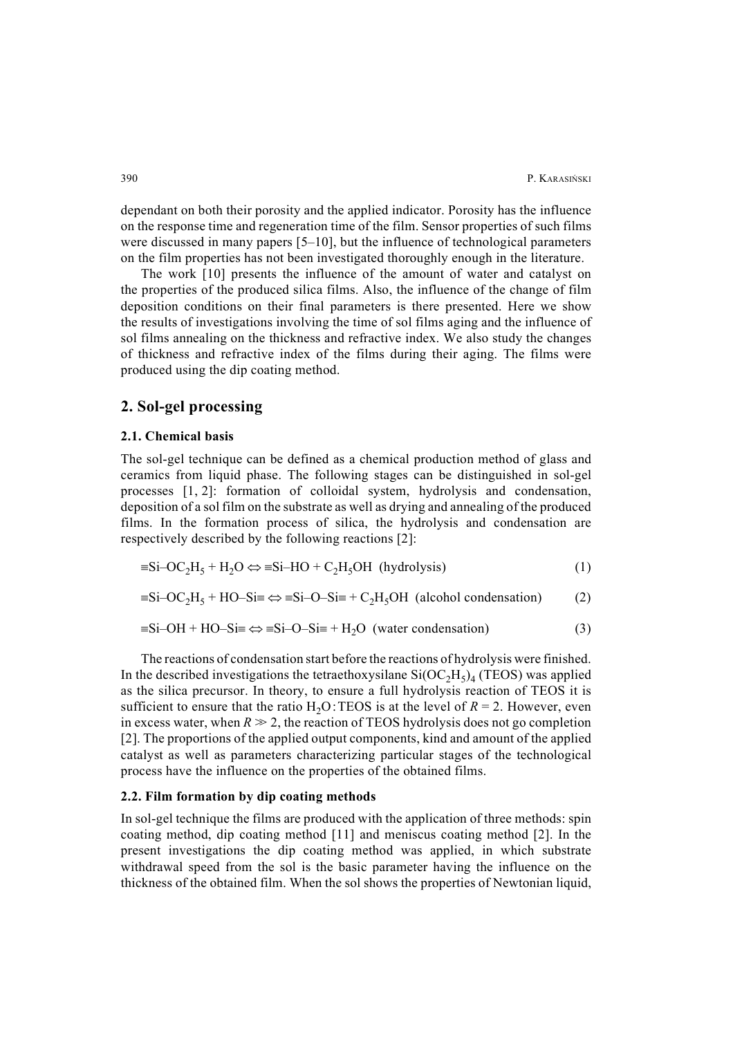dependant on both their porosity and the applied indicator. Porosity has the influence on the response time and regeneration time of the film. Sensor properties of such films were discussed in many papers [5–10], but the influence of technological parameters on the film properties has not been investigated thoroughly enough in the literature.

The work [10] presents the influence of the amount of water and catalyst on the properties of the produced silica films. Also, the influence of the change of film deposition conditions on their final parameters is there presented. Here we show the results of investigations involving the time of sol films aging and the influence of sol films annealing on the thickness and refractive index. We also study the changes of thickness and refractive index of the films during their aging. The films were produced using the dip coating method.

#### **2. Sol-gel processing**

#### **2.1. Chemical basis**

The sol-gel technique can be defined as a chemical production method of glass and ceramics from liquid phase. The following stages can be distinguished in sol-gel processes [1, 2]: formation of colloidal system, hydrolysis and condensation, deposition of a sol film on the substrate as well as drying and annealing of the produced films. In the formation process of silica, the hydrolysis and condensation are respectively described by the following reactions [2]:

$$
\equiv Si-OC_2H_5 + H_2O \Leftrightarrow \equiv Si-HO + C_2H_5OH \text{ (hydrolysis)}
$$
 (1)

$$
=Si-OC2H5 + HO-Si = \Leftrightarrow =Si-O-Si = + C2H5OH (alcohol condensation)
$$
 (2)

$$
\equiv \text{Si}-\text{OH} + \text{HO}-\text{Si} \Longrightarrow \equiv \text{Si}-\text{O}-\text{Si} \equiv +\text{H}_2\text{O} \text{ (water condensation)}
$$
(3)

The reactions of condensation start before the reactions of hydrolysis were finished. In the described investigations the tetraethoxysilane  $Si(OC<sub>2</sub>H<sub>5</sub>)<sub>4</sub>$  (TEOS) was applied as the silica precursor. In theory, to ensure a full hydrolysis reaction of TEOS it is sufficient to ensure that the ratio  $H_2O$ : TEOS is at the level of  $R = 2$ . However, even in excess water, when  $R \gg 2$ , the reaction of TEOS hydrolysis does not go completion [2]. The proportions of the applied output components, kind and amount of the applied catalyst as well as parameters characterizing particular stages of the technological process have the influence on the properties of the obtained films.

#### **2.2. Film formation by dip coating methods**

In sol-gel technique the films are produced with the application of three methods: spin coating method, dip coating method [11] and meniscus coating method [2]. In the present investigations the dip coating method was applied, in which substrate withdrawal speed from the sol is the basic parameter having the influence on the thickness of the obtained film. When the sol shows the properties of Newtonian liquid,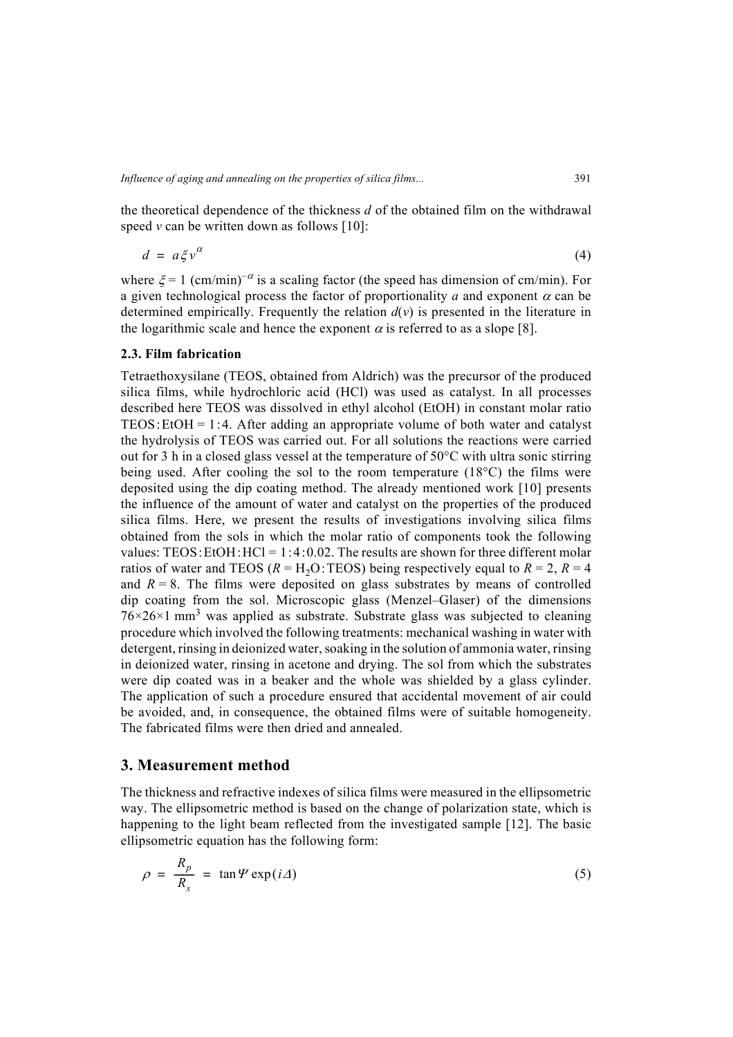the theoretical dependence of the thickness *d* of the obtained film on the withdrawal speed  $\nu$  can be written down as follows [10]:

$$
d = a \xi v^{\alpha} \tag{4}
$$

where  $\xi = 1$  (cm/min)<sup>- $\alpha$ </sup> is a scaling factor (the speed has dimension of cm/min). For a given technological process the factor of proportionality *a* and exponent  $\alpha$  can be determined empirically. Frequently the relation  $d(v)$  is presented in the literature in the logarithmic scale and hence the exponent  $\alpha$  is referred to as a slope [8].

#### **2.3. Film fabrication**

Tetraethoxysilane (TEOS, obtained from Aldrich) was the precursor of the produced silica films, while hydrochloric acid (HCl) was used as catalyst. In all processes described here TEOS was dissolved in ethyl alcohol (EtOH) in constant molar ratio TEOS: EtOH = 1:4. After adding an appropriate volume of both water and catalyst the hydrolysis of TEOS was carried out. For all solutions the reactions were carried out for 3 h in a closed glass vessel at the temperature of 50°C with ultra sonic stirring being used. After cooling the sol to the room temperature (18°C) the films were deposited using the dip coating method. The already mentioned work [10] presents the influence of the amount of water and catalyst on the properties of the produced silica films. Here, we present the results of investigations involving silica films obtained from the sols in which the molar ratio of components took the following values: TEOS: EtOH:  $HCl = 1:4:0.02$ . The results are shown for three different molar ratios of water and TEOS ( $R = H_2O$ :TEOS) being respectively equal to  $R = 2$ ,  $R = 4$ and  $R = 8$ . The films were deposited on glass substrates by means of controlled dip coating from the sol. Microscopic glass (Menzel–Glaser) of the dimensions  $76 \times 26 \times 1$  mm<sup>3</sup> was applied as substrate. Substrate glass was subjected to cleaning procedure which involved the following treatments: mechanical washing in water with detergent, rinsing in deionized water, soaking in the solution of ammonia water, rinsing in deionized water, rinsing in acetone and drying. The sol from which the substrates were dip coated was in a beaker and the whole was shielded by a glass cylinder. The application of such a procedure ensured that accidental movement of air could be avoided, and, in consequence, the obtained films were of suitable homogeneity. The fabricated films were then dried and annealed.

### **3. Measurement method**

The thickness and refractive indexes of silica films were measured in the ellipsometric way. The ellipsometric method is based on the change of polarization state, which is happening to the light beam reflected from the investigated sample [12]. The basic ellipsometric equation has the following form:

$$
\rho = \frac{R_p}{R_s} = \tan \Psi \exp(i\varDelta) \tag{5}
$$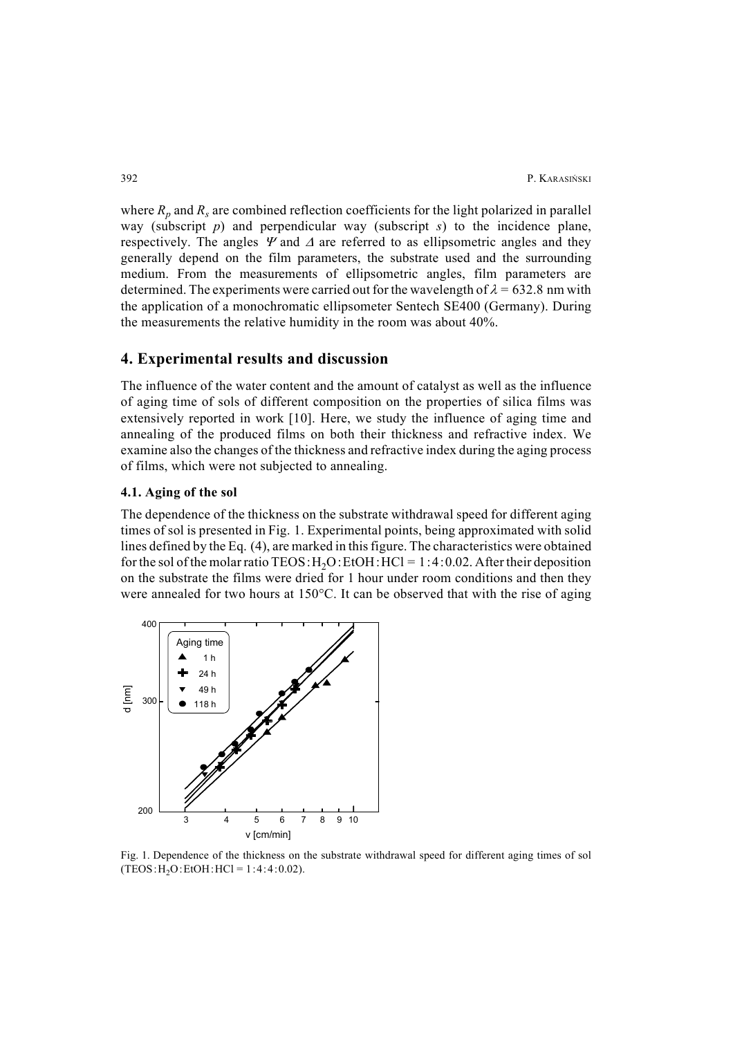where  $R_p$  and  $R_s$  are combined reflection coefficients for the light polarized in parallel way (subscript *p*) and perpendicular way (subscript *s*) to the incidence plane, respectively. The angles  $\Psi$  and  $\Delta$  are referred to as ellipsometric angles and they generally depend on the film parameters, the substrate used and the surrounding medium. From the measurements of ellipsometric angles, film parameters are determined. The experiments were carried out for the wavelength of  $\lambda = 632.8$  nm with the application of a monochromatic ellipsometer Sentech SE400 (Germany). During the measurements the relative humidity in the room was about 40%.

#### **4. Experimental results and discussion**

The influence of the water content and the amount of catalyst as well as the influence of aging time of sols of different composition on the properties of silica films was extensively reported in work [10]. Here, we study the influence of aging time and annealing of the produced films on both their thickness and refractive index. We examine also the changes of the thickness and refractive index during the aging process of films, which were not subjected to annealing.

#### **4.1. Aging of the sol**

The dependence of the thickness on the substrate withdrawal speed for different aging times of sol is presented in Fig. 1. Experimental points, being approximated with solid lines defined by the Eq. (4), are marked in this figure. The characteristics were obtained for the sol of the molar ratio TEOS:  $H<sub>2</sub>O$ : EtOH:  $HCl = 1:4:0.02$ . After their deposition on the substrate the films were dried for 1 hour under room conditions and then they were annealed for two hours at 150°C. It can be observed that with the rise of aging



Fig. 1. Dependence of the thickness on the substrate withdrawal speed for different aging times of sol  $(TEOS:H<sub>2</sub>O:EtOH:HCl = 1:4:4:0.02)$ .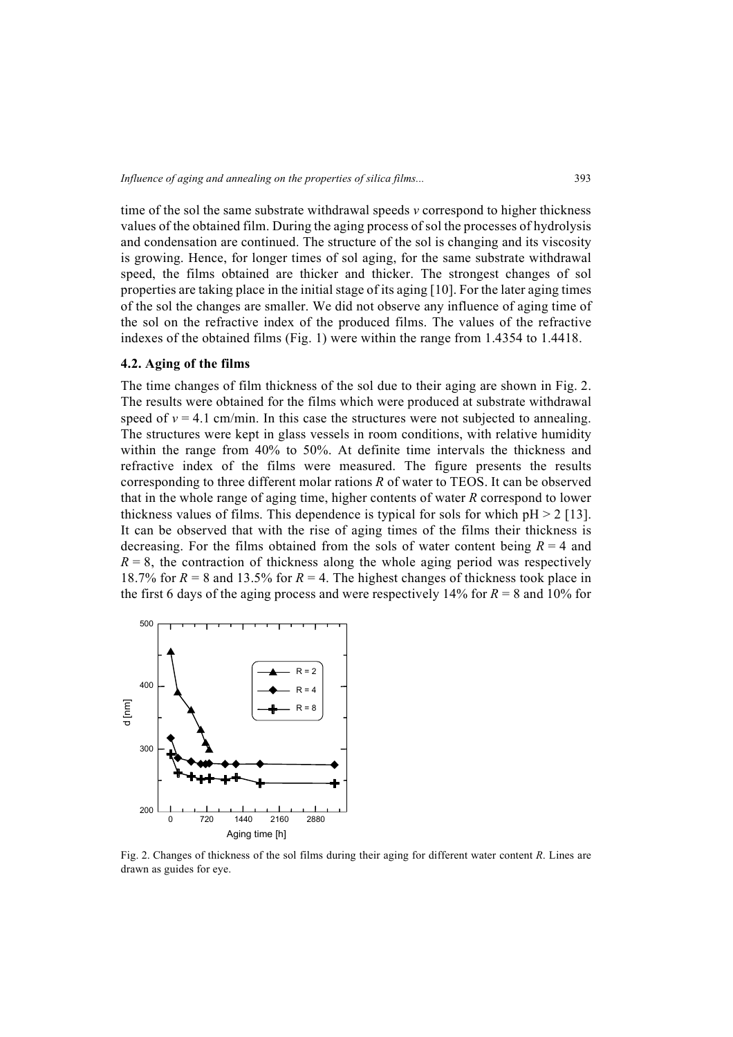time of the sol the same substrate withdrawal speeds *v* correspond to higher thickness values of the obtained film. During the aging process of sol the processes of hydrolysis and condensation are continued. The structure of the sol is changing and its viscosity is growing. Hence, for longer times of sol aging, for the same substrate withdrawal speed, the films obtained are thicker and thicker. The strongest changes of sol properties are taking place in the initial stage of its aging [10]. For the later aging times of the sol the changes are smaller. We did not observe any influence of aging time of the sol on the refractive index of the produced films. The values of the refractive indexes of the obtained films (Fig. 1) were within the range from 1.4354 to 1.4418.

#### **4.2. Aging of the films**

The time changes of film thickness of the sol due to their aging are shown in Fig. 2. The results were obtained for the films which were produced at substrate withdrawal speed of  $v = 4.1$  cm/min. In this case the structures were not subjected to annealing. The structures were kept in glass vessels in room conditions, with relative humidity within the range from 40% to 50%. At definite time intervals the thickness and refractive index of the films were measured. The figure presents the results corresponding to three different molar rations *R* of water to TEOS. It can be observed that in the whole range of aging time, higher contents of water *R* correspond to lower thickness values of films. This dependence is typical for sols for which  $pH > 2$  [13]. It can be observed that with the rise of aging times of the films their thickness is decreasing. For the films obtained from the sols of water content being  $R = 4$  and  $R = 8$ , the contraction of thickness along the whole aging period was respectively 18.7% for  $R = 8$  and 13.5% for  $R = 4$ . The highest changes of thickness took place in the first 6 days of the aging process and were respectively 14% for  $R = 8$  and 10% for



Fig. 2. Changes of thickness of the sol films during their aging for different water content *R*. Lines are drawn as guides for eye.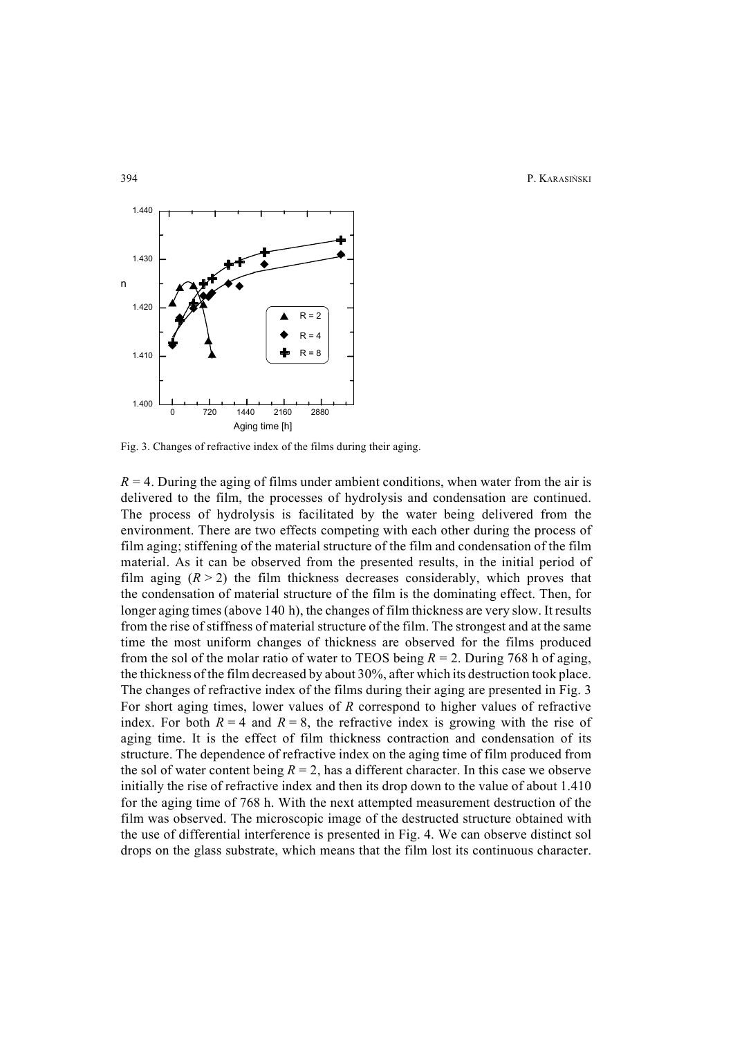394 P. KARASIŃSKI



Fig. 3. Changes of refractive index of the films during their aging.

 $R = 4$ . During the aging of films under ambient conditions, when water from the air is delivered to the film, the processes of hydrolysis and condensation are continued. The process of hydrolysis is facilitated by the water being delivered from the environment. There are two effects competing with each other during the process of film aging; stiffening of the material structure of the film and condensation of the film material. As it can be observed from the presented results, in the initial period of film aging  $(R > 2)$  the film thickness decreases considerably, which proves that the condensation of material structure of the film is the dominating effect. Then, for longer aging times (above 140 h), the changes of film thickness are very slow. It results from the rise of stiffness of material structure of the film. The strongest and at the same time the most uniform changes of thickness are observed for the films produced from the sol of the molar ratio of water to TEOS being  $R = 2$ . During 768 h of aging, the thickness of the film decreased by about 30%, after which its destruction took place. The changes of refractive index of the films during their aging are presented in Fig. 3 For short aging times, lower values of *R* correspond to higher values of refractive index. For both  $R = 4$  and  $R = 8$ , the refractive index is growing with the rise of aging time. It is the effect of film thickness contraction and condensation of its structure. The dependence of refractive index on the aging time of film produced from the sol of water content being  $R = 2$ , has a different character. In this case we observe initially the rise of refractive index and then its drop down to the value of about 1.410 for the aging time of 768 h. With the next attempted measurement destruction of the film was observed. The microscopic image of the destructed structure obtained with the use of differential interference is presented in Fig. 4. We can observe distinct sol drops on the glass substrate, which means that the film lost its continuous character.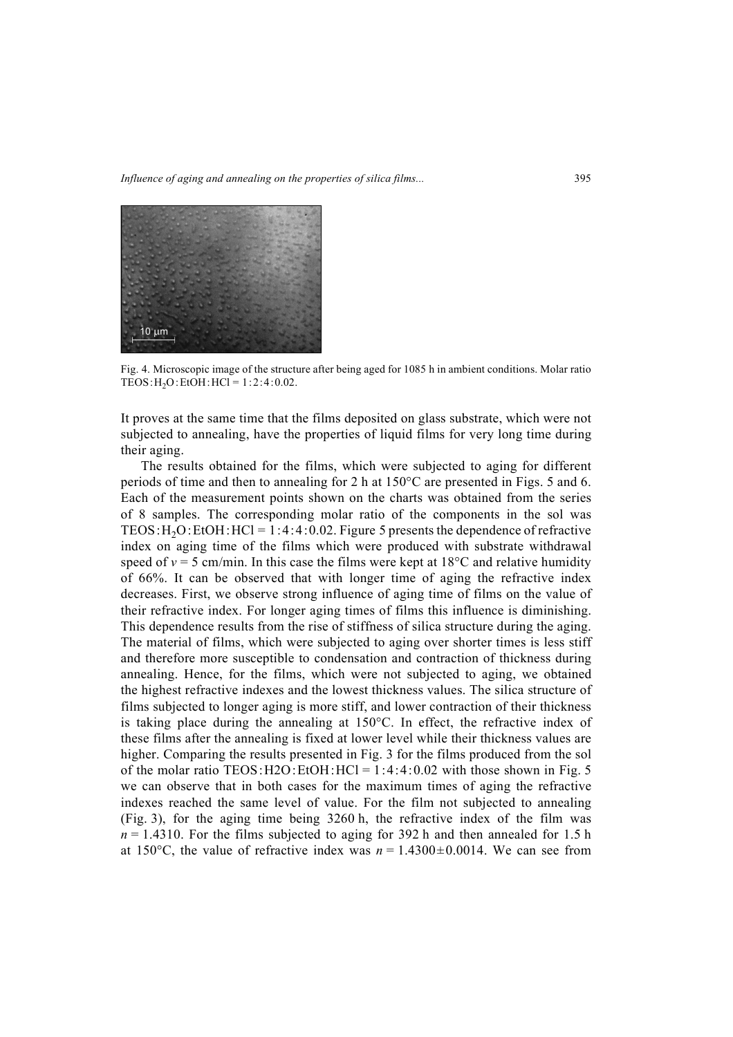*Influence of aging and annealing on the properties of silica films...* 395



Fig. 4. Microscopic image of the structure after being aged for 1085 h in ambient conditions. Molar ratio TEOS:  $H_2O$ : EtOH:  $HCl = 1:2:4:0.02$ .

It proves at the same time that the films deposited on glass substrate, which were not subjected to annealing, have the properties of liquid films for very long time during their aging.

The results obtained for the films, which were subjected to aging for different periods of time and then to annealing for 2 h at 150°C are presented in Figs. 5 and 6. Each of the measurement points shown on the charts was obtained from the series of 8 samples. The corresponding molar ratio of the components in the sol was TEOS:  $H_2O$ : EtOH: HCl = 1:4:4:0.02. Figure 5 presents the dependence of refractive index on aging time of the films which were produced with substrate withdrawal speed of  $v = 5$  cm/min. In this case the films were kept at  $18^{\circ}$ C and relative humidity of 66%. It can be observed that with longer time of aging the refractive index decreases. First, we observe strong influence of aging time of films on the value of their refractive index. For longer aging times of films this influence is diminishing. This dependence results from the rise of stiffness of silica structure during the aging. The material of films, which were subjected to aging over shorter times is less stiff and therefore more susceptible to condensation and contraction of thickness during annealing. Hence, for the films, which were not subjected to aging, we obtained the highest refractive indexes and the lowest thickness values. The silica structure of films subjected to longer aging is more stiff, and lower contraction of their thickness is taking place during the annealing at 150°C. In effect, the refractive index of these films after the annealing is fixed at lower level while their thickness values are higher. Comparing the results presented in Fig. 3 for the films produced from the sol of the molar ratio TEOS:  $H2O:EtOH:HCl = 1:4:4:0.02$  with those shown in Fig. 5 we can observe that in both cases for the maximum times of aging the refractive indexes reached the same level of value. For the film not subjected to annealing (Fig. 3), for the aging time being 3260 h, the refractive index of the film was  $n = 1.4310$ . For the films subjected to aging for 392 h and then annealed for 1.5 h at 150 $\degree$ C, the value of refractive index was  $n = 1.4300 \pm 0.0014$ . We can see from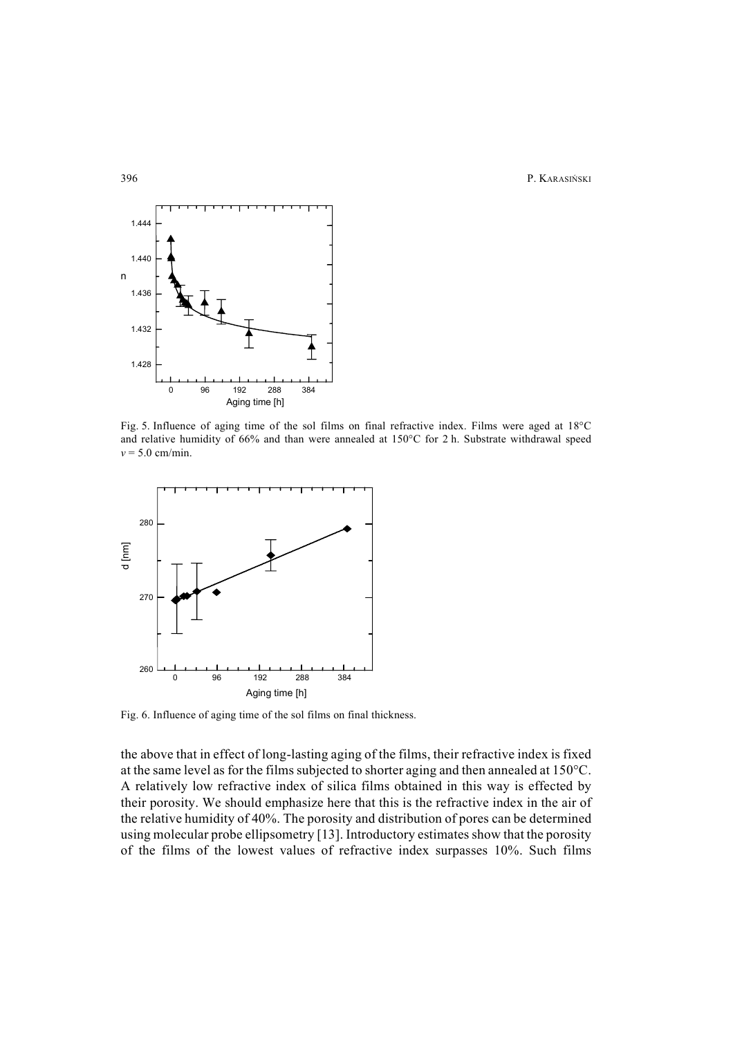396 P. KARASIŃSKI



Fig. 5. Influence of aging time of the sol films on final refractive index. Films were aged at 18°C and relative humidity of 66% and than were annealed at 150°C for 2 h. Substrate withdrawal speed  $v = 5.0$  cm/min.



Fig. 6. Influence of aging time of the sol films on final thickness.

the above that in effect of long-lasting aging of the films, their refractive index is fixed at the same level as for the films subjected to shorter aging and then annealed at 150°C. A relatively low refractive index of silica films obtained in this way is effected by their porosity. We should emphasize here that this is the refractive index in the air of the relative humidity of 40%. The porosity and distribution of pores can be determined using molecular probe ellipsometry [13]. Introductory estimates show that the porosity of the films of the lowest values of refractive index surpasses 10%. Such films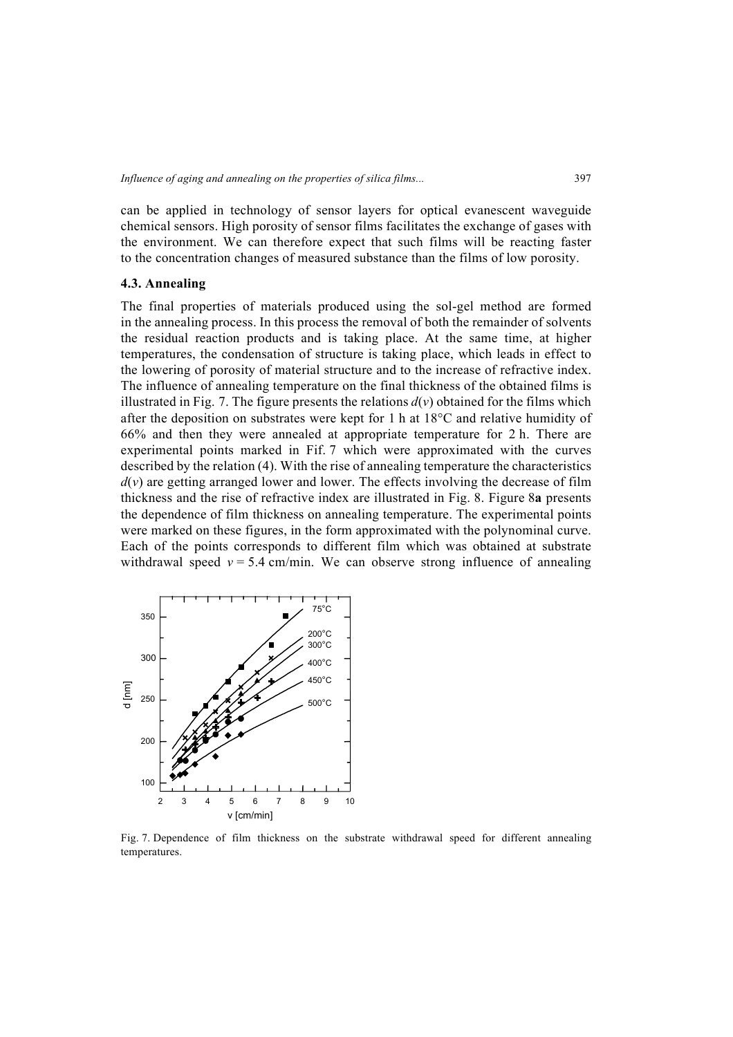can be applied in technology of sensor layers for optical evanescent waveguide chemical sensors. High porosity of sensor films facilitates the exchange of gases with the environment. We can therefore expect that such films will be reacting faster to the concentration changes of measured substance than the films of low porosity.

#### **4.3. Annealing**

The final properties of materials produced using the sol-gel method are formed in the annealing process. In this process the removal of both the remainder of solvents the residual reaction products and is taking place. At the same time, at higher temperatures, the condensation of structure is taking place, which leads in effect to the lowering of porosity of material structure and to the increase of refractive index. The influence of annealing temperature on the final thickness of the obtained films is illustrated in Fig. 7. The figure presents the relations  $d(v)$  obtained for the films which after the deposition on substrates were kept for 1 h at 18°C and relative humidity of 66% and then they were annealed at appropriate temperature for 2 h. There are experimental points marked in Fif. 7 which were approximated with the curves described by the relation (4). With the rise of annealing temperature the characteristics  $d(v)$  are getting arranged lower and lower. The effects involving the decrease of film thickness and the rise of refractive index are illustrated in Fig. 8. Figure 8**a** presents the dependence of film thickness on annealing temperature. The experimental points were marked on these figures, in the form approximated with the polynominal curve. Each of the points corresponds to different film which was obtained at substrate withdrawal speed  $v = 5.4$  cm/min. We can observe strong influence of annealing



Fig. 7. Dependence of film thickness on the substrate withdrawal speed for different annealing temperatures.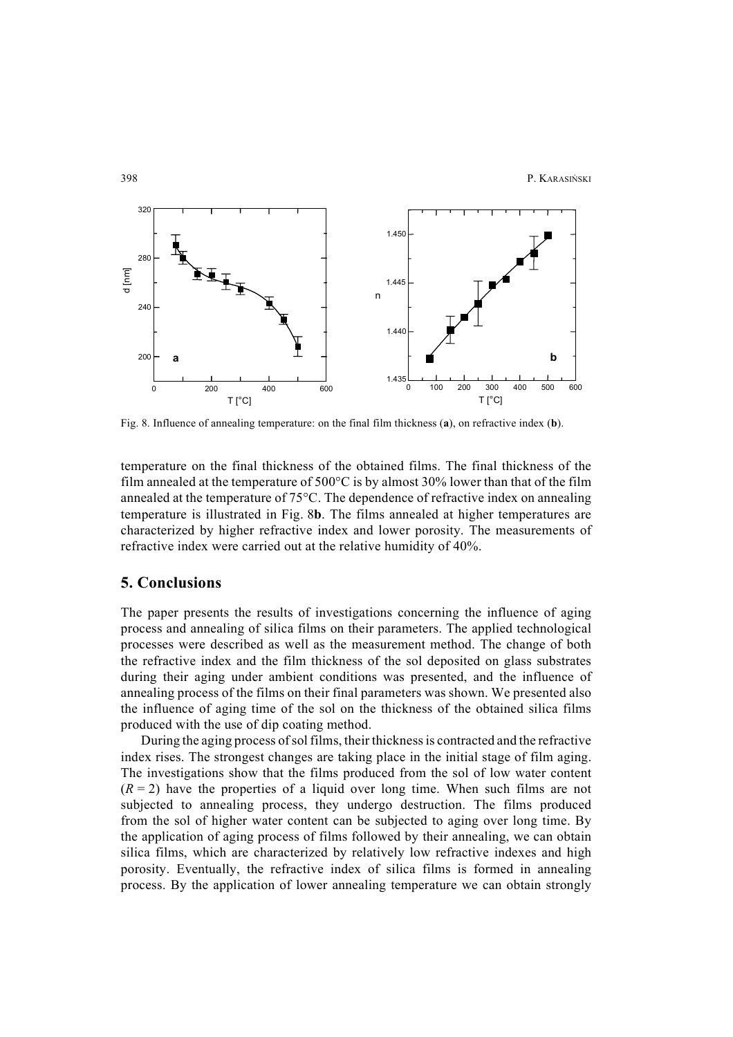

Fig. 8. Influence of annealing temperature: on the final film thickness (**a**), on refractive index (**b**).

temperature on the final thickness of the obtained films. The final thickness of the film annealed at the temperature of 500°C is by almost 30% lower than that of the film annealed at the temperature of 75°C. The dependence of refractive index on annealing temperature is illustrated in Fig. 8**b**. The films annealed at higher temperatures are characterized by higher refractive index and lower porosity. The measurements of refractive index were carried out at the relative humidity of 40%.

#### **5. Conclusions**

The paper presents the results of investigations concerning the influence of aging process and annealing of silica films on their parameters. The applied technological processes were described as well as the measurement method. The change of both the refractive index and the film thickness of the sol deposited on glass substrates during their aging under ambient conditions was presented, and the influence of annealing process of the films on their final parameters was shown. We presented also the influence of aging time of the sol on the thickness of the obtained silica films produced with the use of dip coating method.

During the aging process of sol films, their thickness is contracted and the refractive index rises. The strongest changes are taking place in the initial stage of film aging. The investigations show that the films produced from the sol of low water content  $(R = 2)$  have the properties of a liquid over long time. When such films are not subjected to annealing process, they undergo destruction. The films produced from the sol of higher water content can be subjected to aging over long time. By the application of aging process of films followed by their annealing, we can obtain silica films, which are characterized by relatively low refractive indexes and high porosity. Eventually, the refractive index of silica films is formed in annealing process. By the application of lower annealing temperature we can obtain strongly